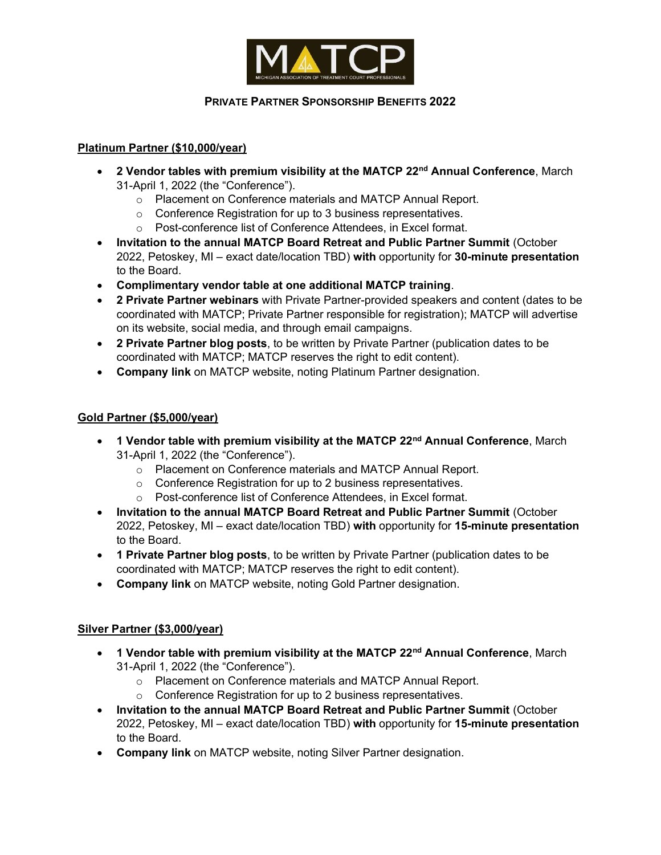

## PRIVATE PARTNER SPONSORSHIP BENEFITS 2022

### Platinum Partner (\$10,000/year)

- 2 Vendor tables with premium visibility at the MATCP 22<sup>nd</sup> Annual Conference, March 31-April 1, 2022 (the "Conference").
	- o Placement on Conference materials and MATCP Annual Report.
	- o Conference Registration for up to 3 business representatives.
	- o Post-conference list of Conference Attendees, in Excel format.
- Invitation to the annual MATCP Board Retreat and Public Partner Summit (October 2022, Petoskey, MI – exact date/location TBD) with opportunity for 30-minute presentation to the Board.
- Complimentary vendor table at one additional MATCP training.
- 2 Private Partner webinars with Private Partner-provided speakers and content (dates to be coordinated with MATCP; Private Partner responsible for registration); MATCP will advertise on its website, social media, and through email campaigns.
- 2 Private Partner blog posts, to be written by Private Partner (publication dates to be coordinated with MATCP; MATCP reserves the right to edit content).
- Company link on MATCP website, noting Platinum Partner designation.

#### Gold Partner (\$5,000/year)

- 1 Vendor table with premium visibility at the MATCP 22<sup>nd</sup> Annual Conference, March 31-April 1, 2022 (the "Conference").
	- o Placement on Conference materials and MATCP Annual Report.
	- o Conference Registration for up to 2 business representatives.
	- o Post-conference list of Conference Attendees, in Excel format.
- Invitation to the annual MATCP Board Retreat and Public Partner Summit (October 2022, Petoskey, MI – exact date/location TBD) with opportunity for 15-minute presentation to the Board.
- 1 Private Partner blog posts, to be written by Private Partner (publication dates to be coordinated with MATCP; MATCP reserves the right to edit content).
- Company link on MATCP website, noting Gold Partner designation.

#### Silver Partner (\$3,000/year)

- 1 Vendor table with premium visibility at the MATCP 22<sup>nd</sup> Annual Conference, March 31-April 1, 2022 (the "Conference").
	- o Placement on Conference materials and MATCP Annual Report.
	- o Conference Registration for up to 2 business representatives.
- Invitation to the annual MATCP Board Retreat and Public Partner Summit (October 2022, Petoskey, MI – exact date/location TBD) with opportunity for 15-minute presentation to the Board.
- Company link on MATCP website, noting Silver Partner designation.